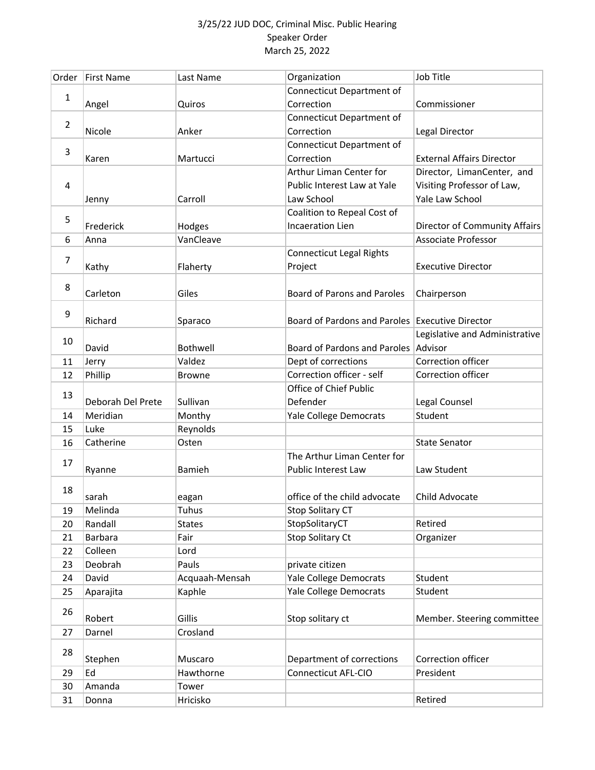| <b>Connecticut Department of</b><br>1<br>Correction<br>Commissioner<br>Angel<br>Quiros<br>Connecticut Department of<br>$\overline{2}$<br>Correction<br>Nicole<br>Anker<br>Legal Director<br>Connecticut Department of<br>3<br>Correction<br><b>External Affairs Director</b><br>Martucci<br>Karen<br>Arthur Liman Center for<br>Director, LimanCenter, and<br>Visiting Professor of Law,<br>Public Interest Law at Yale<br>4<br>Yale Law School<br>Law School<br>Carroll<br>Jenny<br>Coalition to Repeal Cost of<br>5<br><b>Incaeration Lien</b><br>Frederick<br>Director of Community Affairs<br>Hodges<br>Associate Professor<br>VanCleave<br>6<br>Anna<br><b>Connecticut Legal Rights</b><br>7<br>Kathy<br><b>Executive Director</b><br>Flaherty<br>Project<br>8<br><b>Board of Parons and Paroles</b><br>Carleton<br>Giles<br>Chairperson<br>9<br><b>Board of Pardons and Paroles</b><br>Richard<br><b>Executive Director</b><br>Sparaco<br>Legislative and Administrative<br>10<br>Board of Pardons and Paroles Advisor<br>David<br><b>Bothwell</b><br>Correction officer<br>Dept of corrections<br>Valdez<br>11<br>Jerry<br>Correction officer - self<br>Correction officer<br>12<br>Phillip<br><b>Browne</b><br>Office of Chief Public<br>13<br>Sullivan<br>Defender<br>Deborah Del Prete<br>Legal Counsel<br>Meridian<br>Monthy<br>Yale College Democrats<br>Student<br>14<br>Reynolds<br>Luke<br>15<br><b>State Senator</b><br>16<br>Catherine<br>Osten<br>The Arthur Liman Center for<br>17<br>Public Interest Law<br>Law Student<br><b>Bamieh</b><br>Ryanne<br>18<br>office of the child advocate<br>Child Advocate<br>sarah<br>eagan<br>Melinda<br>Tuhus<br><b>Stop Solitary CT</b><br>19<br>StopSolitaryCT<br>Randall<br>Retired<br>20<br><b>States</b><br>Stop Solitary Ct<br>Barbara<br>Organizer<br>Fair<br>21<br>22<br>Colleen<br>Lord<br>private citizen<br>23<br>Deobrah<br>Pauls<br>Yale College Democrats<br>24<br>David<br>Acquaah-Mensah<br>Student<br>25<br>Kaphle<br>Yale College Democrats<br>Student<br>Aparajita<br>26<br>Gillis<br>Robert<br>Stop solitary ct<br>Crosland<br>Darnel<br>27<br>28<br>Department of corrections<br>Correction officer<br>Stephen<br>Muscaro<br><b>Connecticut AFL-CIO</b><br>President<br>Ed<br>Hawthorne<br>29<br>30<br>Amanda<br>Tower<br>Hricisko<br>Retired<br>31<br>Donna | Order | <b>First Name</b> | Last Name | Organization | Job Title |
|------------------------------------------------------------------------------------------------------------------------------------------------------------------------------------------------------------------------------------------------------------------------------------------------------------------------------------------------------------------------------------------------------------------------------------------------------------------------------------------------------------------------------------------------------------------------------------------------------------------------------------------------------------------------------------------------------------------------------------------------------------------------------------------------------------------------------------------------------------------------------------------------------------------------------------------------------------------------------------------------------------------------------------------------------------------------------------------------------------------------------------------------------------------------------------------------------------------------------------------------------------------------------------------------------------------------------------------------------------------------------------------------------------------------------------------------------------------------------------------------------------------------------------------------------------------------------------------------------------------------------------------------------------------------------------------------------------------------------------------------------------------------------------------------------------------------------------------------------------------------------------------------------------------------------------------------------------------------------------------------------------------------------------------------------------------------------------------------------------------------------------------------------------------------------------------------------------------------------------------------------------------------------------------------------------------------------------------|-------|-------------------|-----------|--------------|-----------|
|                                                                                                                                                                                                                                                                                                                                                                                                                                                                                                                                                                                                                                                                                                                                                                                                                                                                                                                                                                                                                                                                                                                                                                                                                                                                                                                                                                                                                                                                                                                                                                                                                                                                                                                                                                                                                                                                                                                                                                                                                                                                                                                                                                                                                                                                                                                                          |       |                   |           |              |           |
| Member. Steering committee                                                                                                                                                                                                                                                                                                                                                                                                                                                                                                                                                                                                                                                                                                                                                                                                                                                                                                                                                                                                                                                                                                                                                                                                                                                                                                                                                                                                                                                                                                                                                                                                                                                                                                                                                                                                                                                                                                                                                                                                                                                                                                                                                                                                                                                                                                               |       |                   |           |              |           |
|                                                                                                                                                                                                                                                                                                                                                                                                                                                                                                                                                                                                                                                                                                                                                                                                                                                                                                                                                                                                                                                                                                                                                                                                                                                                                                                                                                                                                                                                                                                                                                                                                                                                                                                                                                                                                                                                                                                                                                                                                                                                                                                                                                                                                                                                                                                                          |       |                   |           |              |           |
|                                                                                                                                                                                                                                                                                                                                                                                                                                                                                                                                                                                                                                                                                                                                                                                                                                                                                                                                                                                                                                                                                                                                                                                                                                                                                                                                                                                                                                                                                                                                                                                                                                                                                                                                                                                                                                                                                                                                                                                                                                                                                                                                                                                                                                                                                                                                          |       |                   |           |              |           |
|                                                                                                                                                                                                                                                                                                                                                                                                                                                                                                                                                                                                                                                                                                                                                                                                                                                                                                                                                                                                                                                                                                                                                                                                                                                                                                                                                                                                                                                                                                                                                                                                                                                                                                                                                                                                                                                                                                                                                                                                                                                                                                                                                                                                                                                                                                                                          |       |                   |           |              |           |
|                                                                                                                                                                                                                                                                                                                                                                                                                                                                                                                                                                                                                                                                                                                                                                                                                                                                                                                                                                                                                                                                                                                                                                                                                                                                                                                                                                                                                                                                                                                                                                                                                                                                                                                                                                                                                                                                                                                                                                                                                                                                                                                                                                                                                                                                                                                                          |       |                   |           |              |           |
|                                                                                                                                                                                                                                                                                                                                                                                                                                                                                                                                                                                                                                                                                                                                                                                                                                                                                                                                                                                                                                                                                                                                                                                                                                                                                                                                                                                                                                                                                                                                                                                                                                                                                                                                                                                                                                                                                                                                                                                                                                                                                                                                                                                                                                                                                                                                          |       |                   |           |              |           |
|                                                                                                                                                                                                                                                                                                                                                                                                                                                                                                                                                                                                                                                                                                                                                                                                                                                                                                                                                                                                                                                                                                                                                                                                                                                                                                                                                                                                                                                                                                                                                                                                                                                                                                                                                                                                                                                                                                                                                                                                                                                                                                                                                                                                                                                                                                                                          |       |                   |           |              |           |
|                                                                                                                                                                                                                                                                                                                                                                                                                                                                                                                                                                                                                                                                                                                                                                                                                                                                                                                                                                                                                                                                                                                                                                                                                                                                                                                                                                                                                                                                                                                                                                                                                                                                                                                                                                                                                                                                                                                                                                                                                                                                                                                                                                                                                                                                                                                                          |       |                   |           |              |           |
|                                                                                                                                                                                                                                                                                                                                                                                                                                                                                                                                                                                                                                                                                                                                                                                                                                                                                                                                                                                                                                                                                                                                                                                                                                                                                                                                                                                                                                                                                                                                                                                                                                                                                                                                                                                                                                                                                                                                                                                                                                                                                                                                                                                                                                                                                                                                          |       |                   |           |              |           |
|                                                                                                                                                                                                                                                                                                                                                                                                                                                                                                                                                                                                                                                                                                                                                                                                                                                                                                                                                                                                                                                                                                                                                                                                                                                                                                                                                                                                                                                                                                                                                                                                                                                                                                                                                                                                                                                                                                                                                                                                                                                                                                                                                                                                                                                                                                                                          |       |                   |           |              |           |
|                                                                                                                                                                                                                                                                                                                                                                                                                                                                                                                                                                                                                                                                                                                                                                                                                                                                                                                                                                                                                                                                                                                                                                                                                                                                                                                                                                                                                                                                                                                                                                                                                                                                                                                                                                                                                                                                                                                                                                                                                                                                                                                                                                                                                                                                                                                                          |       |                   |           |              |           |
|                                                                                                                                                                                                                                                                                                                                                                                                                                                                                                                                                                                                                                                                                                                                                                                                                                                                                                                                                                                                                                                                                                                                                                                                                                                                                                                                                                                                                                                                                                                                                                                                                                                                                                                                                                                                                                                                                                                                                                                                                                                                                                                                                                                                                                                                                                                                          |       |                   |           |              |           |
|                                                                                                                                                                                                                                                                                                                                                                                                                                                                                                                                                                                                                                                                                                                                                                                                                                                                                                                                                                                                                                                                                                                                                                                                                                                                                                                                                                                                                                                                                                                                                                                                                                                                                                                                                                                                                                                                                                                                                                                                                                                                                                                                                                                                                                                                                                                                          |       |                   |           |              |           |
|                                                                                                                                                                                                                                                                                                                                                                                                                                                                                                                                                                                                                                                                                                                                                                                                                                                                                                                                                                                                                                                                                                                                                                                                                                                                                                                                                                                                                                                                                                                                                                                                                                                                                                                                                                                                                                                                                                                                                                                                                                                                                                                                                                                                                                                                                                                                          |       |                   |           |              |           |
|                                                                                                                                                                                                                                                                                                                                                                                                                                                                                                                                                                                                                                                                                                                                                                                                                                                                                                                                                                                                                                                                                                                                                                                                                                                                                                                                                                                                                                                                                                                                                                                                                                                                                                                                                                                                                                                                                                                                                                                                                                                                                                                                                                                                                                                                                                                                          |       |                   |           |              |           |
|                                                                                                                                                                                                                                                                                                                                                                                                                                                                                                                                                                                                                                                                                                                                                                                                                                                                                                                                                                                                                                                                                                                                                                                                                                                                                                                                                                                                                                                                                                                                                                                                                                                                                                                                                                                                                                                                                                                                                                                                                                                                                                                                                                                                                                                                                                                                          |       |                   |           |              |           |
|                                                                                                                                                                                                                                                                                                                                                                                                                                                                                                                                                                                                                                                                                                                                                                                                                                                                                                                                                                                                                                                                                                                                                                                                                                                                                                                                                                                                                                                                                                                                                                                                                                                                                                                                                                                                                                                                                                                                                                                                                                                                                                                                                                                                                                                                                                                                          |       |                   |           |              |           |
|                                                                                                                                                                                                                                                                                                                                                                                                                                                                                                                                                                                                                                                                                                                                                                                                                                                                                                                                                                                                                                                                                                                                                                                                                                                                                                                                                                                                                                                                                                                                                                                                                                                                                                                                                                                                                                                                                                                                                                                                                                                                                                                                                                                                                                                                                                                                          |       |                   |           |              |           |
|                                                                                                                                                                                                                                                                                                                                                                                                                                                                                                                                                                                                                                                                                                                                                                                                                                                                                                                                                                                                                                                                                                                                                                                                                                                                                                                                                                                                                                                                                                                                                                                                                                                                                                                                                                                                                                                                                                                                                                                                                                                                                                                                                                                                                                                                                                                                          |       |                   |           |              |           |
|                                                                                                                                                                                                                                                                                                                                                                                                                                                                                                                                                                                                                                                                                                                                                                                                                                                                                                                                                                                                                                                                                                                                                                                                                                                                                                                                                                                                                                                                                                                                                                                                                                                                                                                                                                                                                                                                                                                                                                                                                                                                                                                                                                                                                                                                                                                                          |       |                   |           |              |           |
|                                                                                                                                                                                                                                                                                                                                                                                                                                                                                                                                                                                                                                                                                                                                                                                                                                                                                                                                                                                                                                                                                                                                                                                                                                                                                                                                                                                                                                                                                                                                                                                                                                                                                                                                                                                                                                                                                                                                                                                                                                                                                                                                                                                                                                                                                                                                          |       |                   |           |              |           |
|                                                                                                                                                                                                                                                                                                                                                                                                                                                                                                                                                                                                                                                                                                                                                                                                                                                                                                                                                                                                                                                                                                                                                                                                                                                                                                                                                                                                                                                                                                                                                                                                                                                                                                                                                                                                                                                                                                                                                                                                                                                                                                                                                                                                                                                                                                                                          |       |                   |           |              |           |
|                                                                                                                                                                                                                                                                                                                                                                                                                                                                                                                                                                                                                                                                                                                                                                                                                                                                                                                                                                                                                                                                                                                                                                                                                                                                                                                                                                                                                                                                                                                                                                                                                                                                                                                                                                                                                                                                                                                                                                                                                                                                                                                                                                                                                                                                                                                                          |       |                   |           |              |           |
|                                                                                                                                                                                                                                                                                                                                                                                                                                                                                                                                                                                                                                                                                                                                                                                                                                                                                                                                                                                                                                                                                                                                                                                                                                                                                                                                                                                                                                                                                                                                                                                                                                                                                                                                                                                                                                                                                                                                                                                                                                                                                                                                                                                                                                                                                                                                          |       |                   |           |              |           |
|                                                                                                                                                                                                                                                                                                                                                                                                                                                                                                                                                                                                                                                                                                                                                                                                                                                                                                                                                                                                                                                                                                                                                                                                                                                                                                                                                                                                                                                                                                                                                                                                                                                                                                                                                                                                                                                                                                                                                                                                                                                                                                                                                                                                                                                                                                                                          |       |                   |           |              |           |
|                                                                                                                                                                                                                                                                                                                                                                                                                                                                                                                                                                                                                                                                                                                                                                                                                                                                                                                                                                                                                                                                                                                                                                                                                                                                                                                                                                                                                                                                                                                                                                                                                                                                                                                                                                                                                                                                                                                                                                                                                                                                                                                                                                                                                                                                                                                                          |       |                   |           |              |           |
|                                                                                                                                                                                                                                                                                                                                                                                                                                                                                                                                                                                                                                                                                                                                                                                                                                                                                                                                                                                                                                                                                                                                                                                                                                                                                                                                                                                                                                                                                                                                                                                                                                                                                                                                                                                                                                                                                                                                                                                                                                                                                                                                                                                                                                                                                                                                          |       |                   |           |              |           |
|                                                                                                                                                                                                                                                                                                                                                                                                                                                                                                                                                                                                                                                                                                                                                                                                                                                                                                                                                                                                                                                                                                                                                                                                                                                                                                                                                                                                                                                                                                                                                                                                                                                                                                                                                                                                                                                                                                                                                                                                                                                                                                                                                                                                                                                                                                                                          |       |                   |           |              |           |
|                                                                                                                                                                                                                                                                                                                                                                                                                                                                                                                                                                                                                                                                                                                                                                                                                                                                                                                                                                                                                                                                                                                                                                                                                                                                                                                                                                                                                                                                                                                                                                                                                                                                                                                                                                                                                                                                                                                                                                                                                                                                                                                                                                                                                                                                                                                                          |       |                   |           |              |           |
|                                                                                                                                                                                                                                                                                                                                                                                                                                                                                                                                                                                                                                                                                                                                                                                                                                                                                                                                                                                                                                                                                                                                                                                                                                                                                                                                                                                                                                                                                                                                                                                                                                                                                                                                                                                                                                                                                                                                                                                                                                                                                                                                                                                                                                                                                                                                          |       |                   |           |              |           |
|                                                                                                                                                                                                                                                                                                                                                                                                                                                                                                                                                                                                                                                                                                                                                                                                                                                                                                                                                                                                                                                                                                                                                                                                                                                                                                                                                                                                                                                                                                                                                                                                                                                                                                                                                                                                                                                                                                                                                                                                                                                                                                                                                                                                                                                                                                                                          |       |                   |           |              |           |
|                                                                                                                                                                                                                                                                                                                                                                                                                                                                                                                                                                                                                                                                                                                                                                                                                                                                                                                                                                                                                                                                                                                                                                                                                                                                                                                                                                                                                                                                                                                                                                                                                                                                                                                                                                                                                                                                                                                                                                                                                                                                                                                                                                                                                                                                                                                                          |       |                   |           |              |           |
|                                                                                                                                                                                                                                                                                                                                                                                                                                                                                                                                                                                                                                                                                                                                                                                                                                                                                                                                                                                                                                                                                                                                                                                                                                                                                                                                                                                                                                                                                                                                                                                                                                                                                                                                                                                                                                                                                                                                                                                                                                                                                                                                                                                                                                                                                                                                          |       |                   |           |              |           |
|                                                                                                                                                                                                                                                                                                                                                                                                                                                                                                                                                                                                                                                                                                                                                                                                                                                                                                                                                                                                                                                                                                                                                                                                                                                                                                                                                                                                                                                                                                                                                                                                                                                                                                                                                                                                                                                                                                                                                                                                                                                                                                                                                                                                                                                                                                                                          |       |                   |           |              |           |
|                                                                                                                                                                                                                                                                                                                                                                                                                                                                                                                                                                                                                                                                                                                                                                                                                                                                                                                                                                                                                                                                                                                                                                                                                                                                                                                                                                                                                                                                                                                                                                                                                                                                                                                                                                                                                                                                                                                                                                                                                                                                                                                                                                                                                                                                                                                                          |       |                   |           |              |           |
|                                                                                                                                                                                                                                                                                                                                                                                                                                                                                                                                                                                                                                                                                                                                                                                                                                                                                                                                                                                                                                                                                                                                                                                                                                                                                                                                                                                                                                                                                                                                                                                                                                                                                                                                                                                                                                                                                                                                                                                                                                                                                                                                                                                                                                                                                                                                          |       |                   |           |              |           |
|                                                                                                                                                                                                                                                                                                                                                                                                                                                                                                                                                                                                                                                                                                                                                                                                                                                                                                                                                                                                                                                                                                                                                                                                                                                                                                                                                                                                                                                                                                                                                                                                                                                                                                                                                                                                                                                                                                                                                                                                                                                                                                                                                                                                                                                                                                                                          |       |                   |           |              |           |
|                                                                                                                                                                                                                                                                                                                                                                                                                                                                                                                                                                                                                                                                                                                                                                                                                                                                                                                                                                                                                                                                                                                                                                                                                                                                                                                                                                                                                                                                                                                                                                                                                                                                                                                                                                                                                                                                                                                                                                                                                                                                                                                                                                                                                                                                                                                                          |       |                   |           |              |           |
|                                                                                                                                                                                                                                                                                                                                                                                                                                                                                                                                                                                                                                                                                                                                                                                                                                                                                                                                                                                                                                                                                                                                                                                                                                                                                                                                                                                                                                                                                                                                                                                                                                                                                                                                                                                                                                                                                                                                                                                                                                                                                                                                                                                                                                                                                                                                          |       |                   |           |              |           |
|                                                                                                                                                                                                                                                                                                                                                                                                                                                                                                                                                                                                                                                                                                                                                                                                                                                                                                                                                                                                                                                                                                                                                                                                                                                                                                                                                                                                                                                                                                                                                                                                                                                                                                                                                                                                                                                                                                                                                                                                                                                                                                                                                                                                                                                                                                                                          |       |                   |           |              |           |
|                                                                                                                                                                                                                                                                                                                                                                                                                                                                                                                                                                                                                                                                                                                                                                                                                                                                                                                                                                                                                                                                                                                                                                                                                                                                                                                                                                                                                                                                                                                                                                                                                                                                                                                                                                                                                                                                                                                                                                                                                                                                                                                                                                                                                                                                                                                                          |       |                   |           |              |           |
|                                                                                                                                                                                                                                                                                                                                                                                                                                                                                                                                                                                                                                                                                                                                                                                                                                                                                                                                                                                                                                                                                                                                                                                                                                                                                                                                                                                                                                                                                                                                                                                                                                                                                                                                                                                                                                                                                                                                                                                                                                                                                                                                                                                                                                                                                                                                          |       |                   |           |              |           |
|                                                                                                                                                                                                                                                                                                                                                                                                                                                                                                                                                                                                                                                                                                                                                                                                                                                                                                                                                                                                                                                                                                                                                                                                                                                                                                                                                                                                                                                                                                                                                                                                                                                                                                                                                                                                                                                                                                                                                                                                                                                                                                                                                                                                                                                                                                                                          |       |                   |           |              |           |
|                                                                                                                                                                                                                                                                                                                                                                                                                                                                                                                                                                                                                                                                                                                                                                                                                                                                                                                                                                                                                                                                                                                                                                                                                                                                                                                                                                                                                                                                                                                                                                                                                                                                                                                                                                                                                                                                                                                                                                                                                                                                                                                                                                                                                                                                                                                                          |       |                   |           |              |           |
|                                                                                                                                                                                                                                                                                                                                                                                                                                                                                                                                                                                                                                                                                                                                                                                                                                                                                                                                                                                                                                                                                                                                                                                                                                                                                                                                                                                                                                                                                                                                                                                                                                                                                                                                                                                                                                                                                                                                                                                                                                                                                                                                                                                                                                                                                                                                          |       |                   |           |              |           |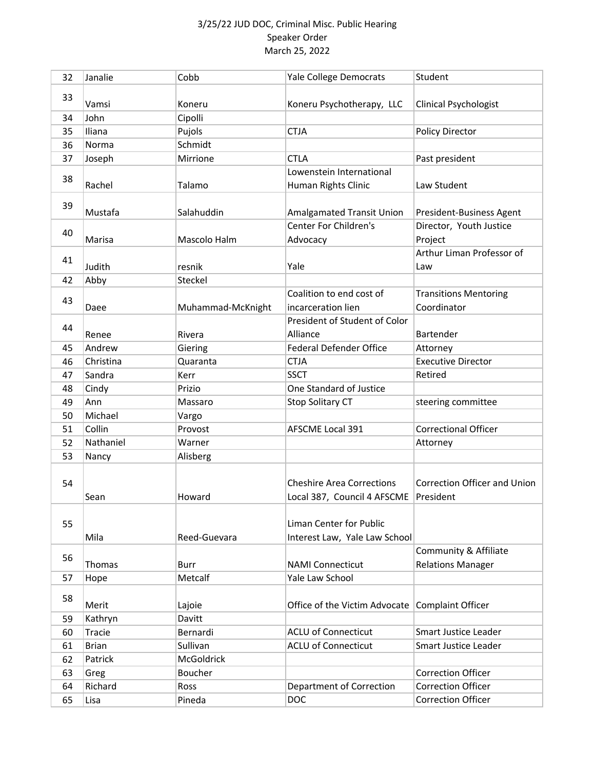| 32 | Janalie      | Cobb              | Yale College Democrats                          | Student                      |
|----|--------------|-------------------|-------------------------------------------------|------------------------------|
|    |              |                   |                                                 |                              |
| 33 | Vamsi        | Koneru            | Koneru Psychotherapy, LLC                       | <b>Clinical Psychologist</b> |
| 34 | John         | Cipolli           |                                                 |                              |
| 35 | Iliana       | Pujols            | <b>CTJA</b>                                     | <b>Policy Director</b>       |
| 36 | Norma        | Schmidt           |                                                 |                              |
| 37 | Joseph       | Mirrione          | <b>CTLA</b>                                     | Past president               |
|    |              |                   | Lowenstein International                        |                              |
| 38 | Rachel       | Talamo            | Human Rights Clinic                             | Law Student                  |
|    |              |                   |                                                 |                              |
| 39 | Mustafa      | Salahuddin        | <b>Amalgamated Transit Union</b>                | President-Business Agent     |
| 40 |              |                   | <b>Center For Children's</b>                    | Director, Youth Justice      |
|    | Marisa       | Mascolo Halm      | Advocacy                                        | Project                      |
| 41 |              |                   |                                                 | Arthur Liman Professor of    |
|    | Judith       | resnik            | Yale                                            | Law                          |
| 42 | Abby         | Steckel           |                                                 |                              |
| 43 |              |                   | Coalition to end cost of                        | <b>Transitions Mentoring</b> |
|    | Daee         | Muhammad-McKnight | incarceration lien                              | Coordinator                  |
| 44 |              |                   | President of Student of Color                   |                              |
|    | Renee        | Rivera            | Alliance                                        | Bartender                    |
| 45 | Andrew       | Giering           | <b>Federal Defender Office</b>                  | Attorney                     |
| 46 | Christina    | Quaranta          | <b>CTJA</b>                                     | <b>Executive Director</b>    |
| 47 | Sandra       | Kerr              | <b>SSCT</b>                                     | Retired                      |
| 48 | Cindy        | Prizio            | One Standard of Justice                         |                              |
| 49 | Ann          | Massaro           | Stop Solitary CT                                | steering committee           |
| 50 | Michael      | Vargo             |                                                 |                              |
| 51 | Collin       | Provost           | <b>AFSCME Local 391</b>                         | <b>Correctional Officer</b>  |
| 52 | Nathaniel    | Warner            |                                                 | Attorney                     |
| 53 | Nancy        | Alisberg          |                                                 |                              |
|    |              |                   |                                                 |                              |
| 54 |              |                   | <b>Cheshire Area Corrections</b>                | Correction Officer and Union |
|    | Sean         | Howard            | Local 387, Council 4 AFSCME                     | President                    |
|    |              |                   |                                                 |                              |
| 55 |              |                   | Liman Center for Public                         |                              |
|    | Mila         | Reed-Guevara      | Interest Law, Yale Law School                   |                              |
| 56 |              |                   |                                                 | Community & Affiliate        |
|    | Thomas       | Burr              | <b>NAMI Connecticut</b>                         | <b>Relations Manager</b>     |
| 57 | Hope         | Metcalf           | Yale Law School                                 |                              |
| 58 |              |                   |                                                 |                              |
|    | Merit        | Lajoie            | Office of the Victim Advocate Complaint Officer |                              |
| 59 | Kathryn      | Davitt            |                                                 |                              |
| 60 | Tracie       | Bernardi          | <b>ACLU of Connecticut</b>                      | <b>Smart Justice Leader</b>  |
| 61 | <b>Brian</b> | Sullivan          | <b>ACLU of Connecticut</b>                      | Smart Justice Leader         |
| 62 | Patrick      | McGoldrick        |                                                 |                              |
| 63 | Greg         | Boucher           |                                                 | <b>Correction Officer</b>    |
| 64 | Richard      | Ross              | Department of Correction                        | <b>Correction Officer</b>    |
| 65 | Lisa         | Pineda            | <b>DOC</b>                                      | <b>Correction Officer</b>    |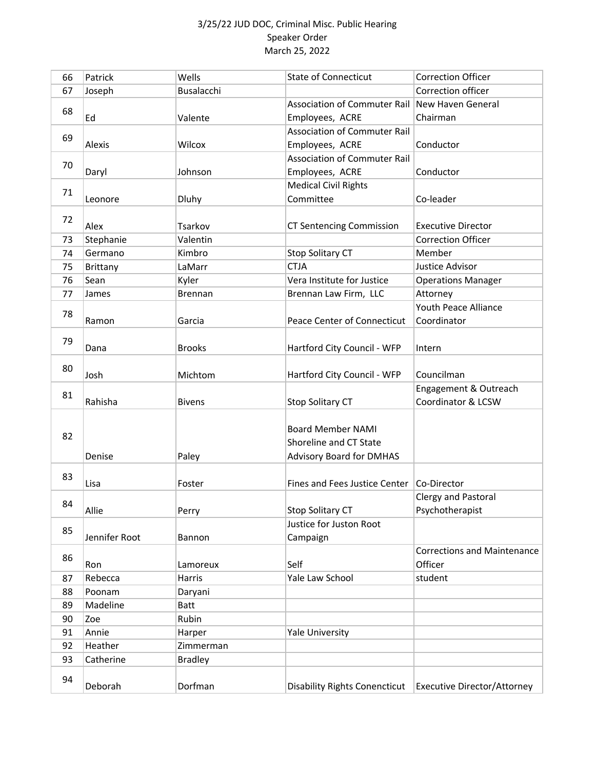| 66 | Patrick         | Wells          | <b>State of Connecticut</b>          | <b>Correction Officer</b>          |
|----|-----------------|----------------|--------------------------------------|------------------------------------|
| 67 | Joseph          | Busalacchi     |                                      | Correction officer                 |
|    |                 |                | <b>Association of Commuter Rail</b>  | New Haven General                  |
| 68 | Ed              | Valente        | Employees, ACRE                      | Chairman                           |
|    |                 |                | <b>Association of Commuter Rail</b>  |                                    |
| 69 | Alexis          | Wilcox         | Employees, ACRE                      | Conductor                          |
|    |                 |                | <b>Association of Commuter Rail</b>  |                                    |
| 70 | Daryl           | Johnson        | Employees, ACRE                      | Conductor                          |
|    |                 |                | <b>Medical Civil Rights</b>          |                                    |
| 71 | Leonore         | <b>Dluhy</b>   | Committee                            | Co-leader                          |
|    |                 |                |                                      |                                    |
| 72 | Alex            | Tsarkov        | <b>CT Sentencing Commission</b>      | <b>Executive Director</b>          |
| 73 | Stephanie       | Valentin       |                                      | <b>Correction Officer</b>          |
| 74 | Germano         | Kimbro         | Stop Solitary CT                     | Member                             |
| 75 | <b>Brittany</b> | LaMarr         | <b>CTJA</b>                          | Justice Advisor                    |
| 76 | Sean            | Kyler          | Vera Institute for Justice           | <b>Operations Manager</b>          |
| 77 | James           | <b>Brennan</b> | Brennan Law Firm, LLC                | Attorney                           |
|    |                 |                |                                      | Youth Peace Alliance               |
| 78 | Ramon           | Garcia         | <b>Peace Center of Connecticut</b>   | Coordinator                        |
| 79 |                 |                |                                      |                                    |
|    | Dana            | <b>Brooks</b>  | Hartford City Council - WFP          | Intern                             |
| 80 |                 |                |                                      |                                    |
|    | Josh            | Michtom        | Hartford City Council - WFP          | Councilman                         |
| 81 |                 |                |                                      | Engagement & Outreach              |
|    | Rahisha         | <b>Bivens</b>  | Stop Solitary CT                     | Coordinator & LCSW                 |
|    |                 |                |                                      |                                    |
| 82 |                 |                | <b>Board Member NAMI</b>             |                                    |
|    |                 |                | Shoreline and CT State               |                                    |
|    | Denise          | Paley          | <b>Advisory Board for DMHAS</b>      |                                    |
| 83 |                 |                |                                      |                                    |
|    | Lisa            | Foster         | Fines and Fees Justice Center        | Co-Director                        |
| 84 |                 |                |                                      | Clergy and Pastoral                |
|    | Allie           | Perry          | Stop Solitary CT                     | Psychotherapist                    |
| 85 |                 |                | Justice for Juston Root              |                                    |
|    | Jennifer Root   | Bannon         | Campaign                             |                                    |
| 86 |                 |                |                                      | <b>Corrections and Maintenance</b> |
|    | Ron             | Lamoreux       | Self                                 | Officer                            |
| 87 | Rebecca         | Harris         | Yale Law School                      | student                            |
| 88 | Poonam          | Daryani        |                                      |                                    |
| 89 | Madeline        | <b>Batt</b>    |                                      |                                    |
| 90 | Zoe             | Rubin          |                                      |                                    |
| 91 | Annie           | Harper         | <b>Yale University</b>               |                                    |
| 92 | Heather         | Zimmerman      |                                      |                                    |
| 93 | Catherine       | <b>Bradley</b> |                                      |                                    |
| 94 |                 |                |                                      |                                    |
|    | Deborah         | Dorfman        | <b>Disability Rights Conencticut</b> | <b>Executive Director/Attorney</b> |